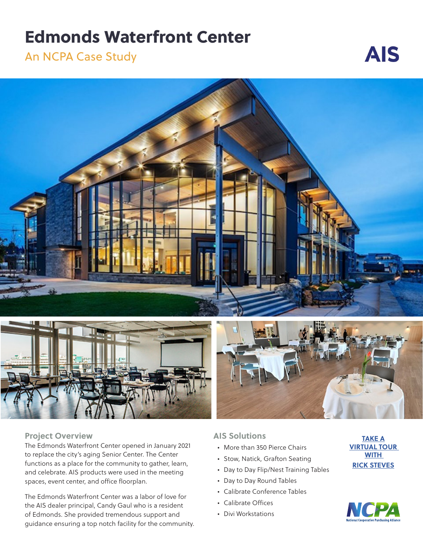# Edmonds Waterfront Center

An NCPA Case Study





## **Project Overview**

The Edmonds Waterfront Center opened in January 2021 to replace the city's aging Senior Center. The Center functions as a place for the community to gather, learn, and celebrate. AIS products were used in the meeting spaces, event center, and office floorplan.

The Edmonds Waterfront Center was a labor of love for the AIS dealer principal, Candy Gaul who is a resident of Edmonds. She provided tremendous support and guidance ensuring a top notch facility for the community.



## **AIS Solutions**

- More than 350 Pierce Chairs
- Stow, Natick, Grafton Seating
- Day to Day Flip/Nest Training Tables
- Day to Day Round Tables
- Calibrate Conference Tables
- Calibrate Offices
- Divi Workstations

**TAKE A [VIRTUAL TOUR](https://www.youtube.com/watch?v=IsmWRtboLxA)  [WITH](https://www.youtube.com/watch?v=IsmWRtboLxA)  [RICK STEVES](https://www.youtube.com/watch?v=IsmWRtboLxA)**

**AIS**